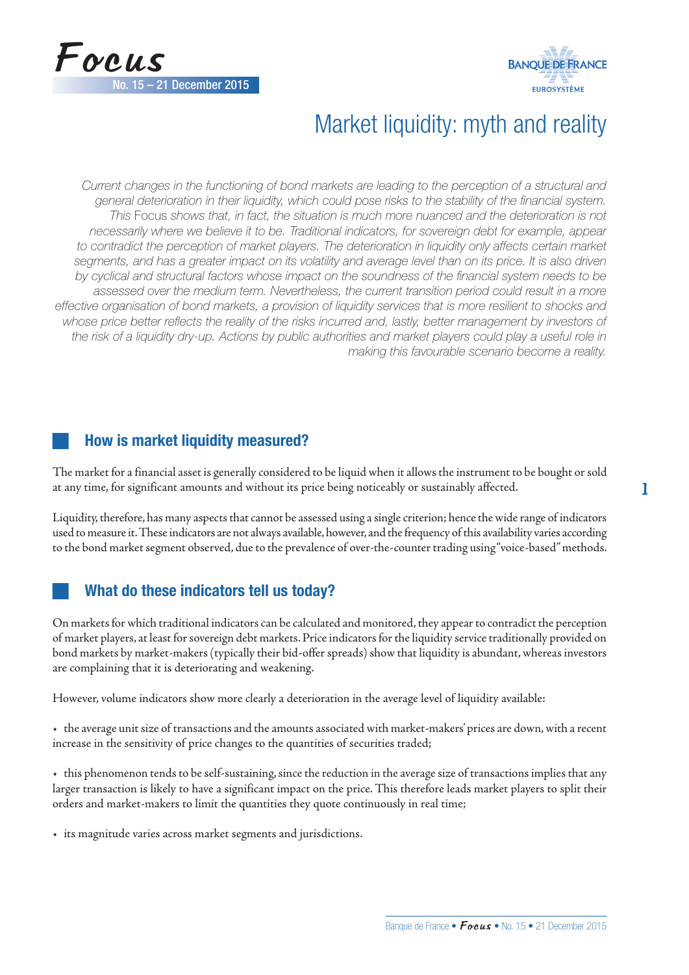



# Market liquidity: myth and reality

*Current changes in the functioning of bond markets are leading to the perception of a structural and general deterioration in their liquidity, which could pose risks to the stability of the financial system. This* Focus *shows that, in fact, the situation is much more nuanced and the deterioration is not necessarily where we believe it to be. Traditional indicators, for sovereign debt for example, appear to contradict the perception of market players. The deterioration in liquidity only affects certain market*  segments, and has a greater impact on its volatility and average level than on its price. It is also driven *by cyclical and structural factors whose impact on the soundness of the financial system needs to be assessed over the medium term. Nevertheless, the current transition period could result in a more effective organisation of bond markets, a provision of liquidity services that is more resilient to shocks and whose price better reflects the reality of the risks incurred and, lastly, better management by investors of*  the risk of a liquidity dry-up. Actions by public authorities and market players could play a useful role in *making this favourable scenario become a reality.*

# How is market liquidity measured?

The market for a financial asset is generally considered to be liquid when it allows the instrument to be bought or sold at any time, for significant amounts and without its price being noticeably or sustainably affected.

Liquidity, therefore, has many aspects that cannot be assessed using a single criterion; hence the wide range of indicators used to measure it. These indicators are not always available, however, and the frequency of this availability varies according to the bond market segment observed, due to the prevalence of over-the-counter trading using "voice-based" methods.

# What do these indicators tell us today?

On markets for which traditional indicators can be calculated and monitored, they appear to contradict the perception of market players, at least for sovereign debt markets. Price indicators for the liquidity service traditionally provided on bond markets by market-makers (typically their bid-offer spreads) show that liquidity is abundant, whereas investors are complaining that it is deteriorating and weakening.

However, volume indicators show more clearly a deterioration in the average level of liquidity available:

• the average unit size of transactions and the amounts associated with market-makers' prices are down, with a recent increase in the sensitivity of price changes to the quantities of securities traded;

• this phenomenon tends to be self-sustaining, since the reduction in the average size of transactions implies that any larger transaction is likely to have a significant impact on the price. This therefore leads market players to split their orders and market-makers to limit the quantities they quote continuously in real time;

• its magnitude varies across market segments and jurisdictions.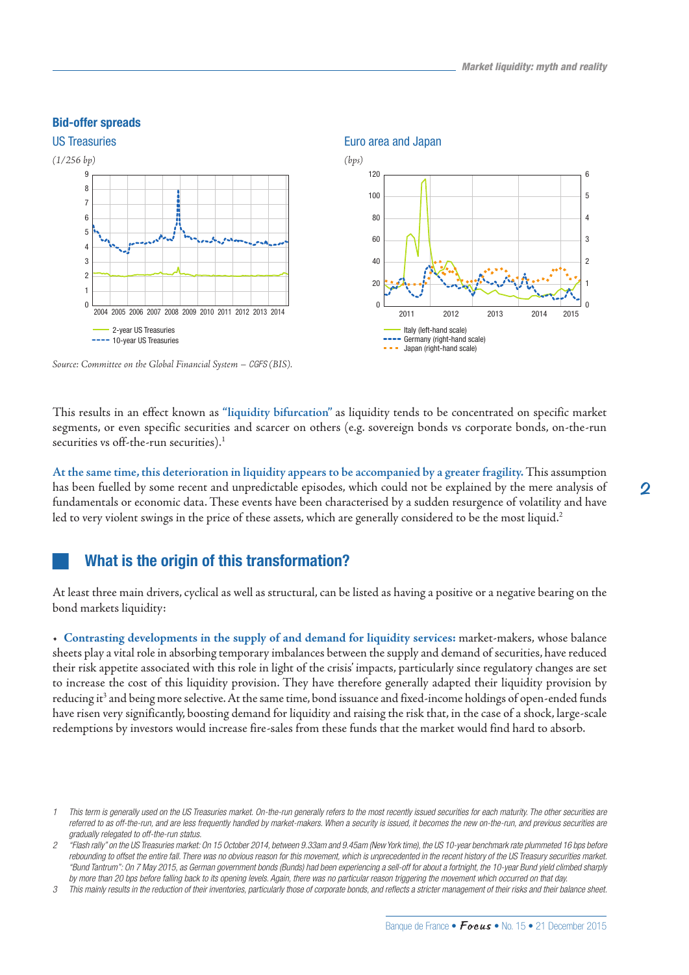#### Bid-offer spreads



*Source: Committee on the Global Financial System – CGFS (BIS).*

This results in an effect known as **"liquidity bifurcation"** as liquidity tends to be concentrated on specific market segments, or even specific securities and scarcer on others (e.g. sovereign bonds vs corporate bonds, on-the-run securities vs off-the-run securities).<sup>1</sup>

**At the same time, this deterioration in liquidity appears to be accompanied by a greater fragility.** This assumption has been fuelled by some recent and unpredictable episodes, which could not be explained by the mere analysis of fundamentals or economic data. These events have been characterised by a sudden resurgence of volatility and have led to very violent swings in the price of these assets, which are generally considered to be the most liquid.<sup>2</sup>

## What is the origin of this transformation?

At least three main drivers, cyclical as well as structural, can be listed as having a positive or a negative bearing on the bond markets liquidity:

• **Contrasting developments in the supply of and demand for liquidity services:** market-makers, whose balance sheets play a vital role in absorbing temporary imbalances between the supply and demand of securities, have reduced their risk appetite associated with this role in light of the crisis' impacts, particularly since regulatory changes are set to increase the cost of this liquidity provision. They have therefore generally adapted their liquidity provision by reducing it<sup>3</sup> and being more selective. At the same time, bond issuance and fixed-income holdings of open-ended funds have risen very significantly, boosting demand for liquidity and raising the risk that, in the case of a shock, large-scale redemptions by investors would increase fire-sales from these funds that the market would find hard to absorb.

*<sup>1</sup> This term is generally used on the US Treasuries market. On-the-run generally refers to the most recently issued securities for each maturity. The other securities are*  referred to as off-the-run, and are less frequently handled by market-makers. When a security is issued, it becomes the new on-the-run, and previous securities are *gradually relegated to off-the-run status.*

*<sup>2</sup> "Flash rally" on the US Treasuries market: On 15 October 2014, between 9.33am and 9.45am (New York time), the US 10-year benchmark rate plummeted 16 bps before rebounding to offset the entire fall. There was no obvious reason for this movement, which is unprecedented in the recent history of the US Treasury securities market. "Bund Tantrum": On 7 May 2015, as German government bonds (Bunds) had been experiencing a sell-off for about a fortnight, the 10-year Bund yield climbed sharply by more than 20 bps before falling back to its opening levels. Again, there was no particular reason triggering the movement which occurred on that day.*

*<sup>3</sup> This mainly results in the reduction of their inventories, particularly those of corporate bonds, and reflects a stricter management of their risks and their balance sheet.*